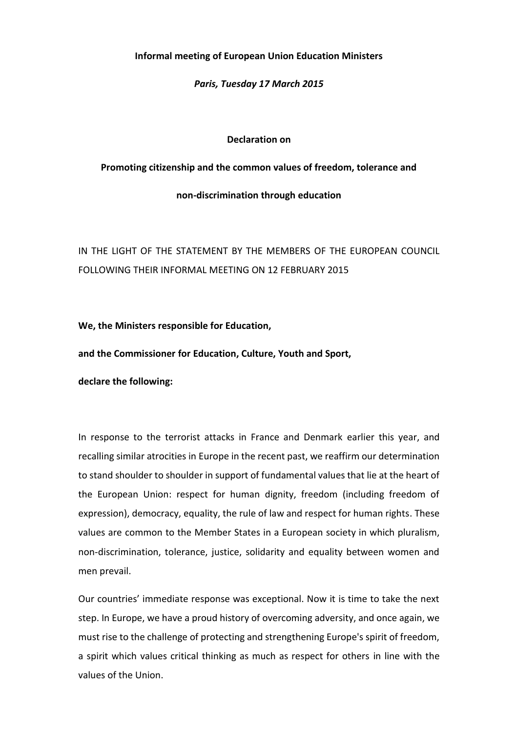# **Informal meeting of European Union Education Ministers**

# *Paris, Tuesday 17 March 2015*

# **Declaration on**

## **Promoting citizenship and the common values of freedom, tolerance and**

#### **non-discrimination through education**

IN THE LIGHT OF THE STATEMENT BY THE MEMBERS OF THE EUROPEAN COUNCIL FOLLOWING THEIR INFORMAL MEETING ON 12 FEBRUARY 2015

**We, the Ministers responsible for Education,** 

**and the Commissioner for Education, Culture, Youth and Sport,**

**declare the following:**

In response to the terrorist attacks in France and Denmark earlier this year, and recalling similar atrocities in Europe in the recent past, we reaffirm our determination to stand shoulder to shoulder in support of fundamental values that lie at the heart of the European Union: respect for human dignity, freedom (including freedom of expression), democracy, equality, the rule of law and respect for human rights. These values are common to the Member States in a European society in which pluralism, non-discrimination, tolerance, justice, solidarity and equality between women and men prevail.

Our countries' immediate response was exceptional. Now it is time to take the next step. In Europe, we have a proud history of overcoming adversity, and once again, we must rise to the challenge of protecting and strengthening Europe's spirit of freedom, a spirit which values critical thinking as much as respect for others in line with the values of the Union.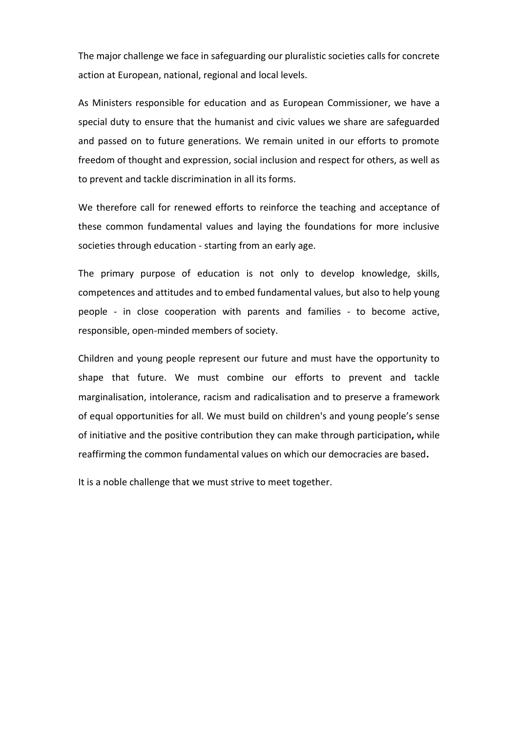The major challenge we face in safeguarding our pluralistic societies calls for concrete action at European, national, regional and local levels.

As Ministers responsible for education and as European Commissioner, we have a special duty to ensure that the humanist and civic values we share are safeguarded and passed on to future generations. We remain united in our efforts to promote freedom of thought and expression, social inclusion and respect for others, as well as to prevent and tackle discrimination in all its forms.

We therefore call for renewed efforts to reinforce the teaching and acceptance of these common fundamental values and laying the foundations for more inclusive societies through education - starting from an early age.

The primary purpose of education is not only to develop knowledge, skills, competences and attitudes and to embed fundamental values, but also to help young people - in close cooperation with parents and families - to become active, responsible, open-minded members of society.

Children and young people represent our future and must have the opportunity to shape that future. We must combine our efforts to prevent and tackle marginalisation, intolerance, racism and radicalisation and to preserve a framework of equal opportunities for all. We must build on children's and young people's sense of initiative and the positive contribution they can make through participation**,** while reaffirming the common fundamental values on which our democracies are based**.**

It is a noble challenge that we must strive to meet together.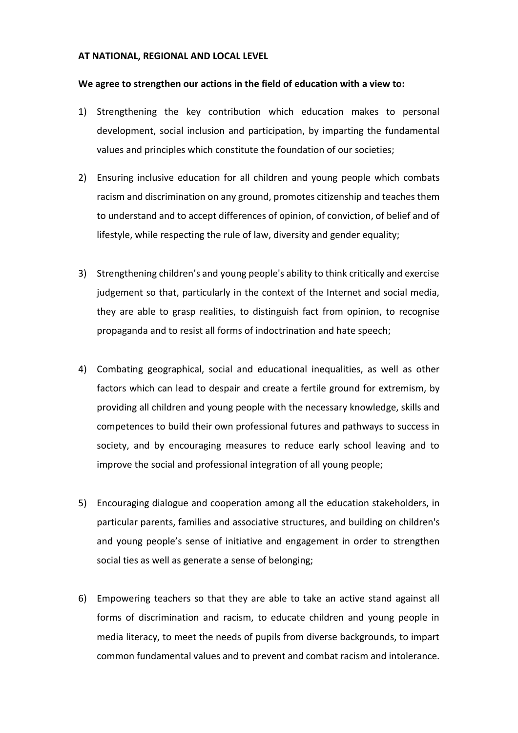## **AT NATIONAL, REGIONAL AND LOCAL LEVEL**

## **We agree to strengthen our actions in the field of education with a view to:**

- 1) Strengthening the key contribution which education makes to personal development, social inclusion and participation, by imparting the fundamental values and principles which constitute the foundation of our societies;
- 2) Ensuring inclusive education for all children and young people which combats racism and discrimination on any ground, promotes citizenship and teaches them to understand and to accept differences of opinion, of conviction, of belief and of lifestyle, while respecting the rule of law, diversity and gender equality;
- 3) Strengthening children's and young people's ability to think critically and exercise judgement so that, particularly in the context of the Internet and social media, they are able to grasp realities, to distinguish fact from opinion, to recognise propaganda and to resist all forms of indoctrination and hate speech;
- 4) Combating geographical, social and educational inequalities, as well as other factors which can lead to despair and create a fertile ground for extremism, by providing all children and young people with the necessary knowledge, skills and competences to build their own professional futures and pathways to success in society, and by encouraging measures to reduce early school leaving and to improve the social and professional integration of all young people;
- 5) Encouraging dialogue and cooperation among all the education stakeholders, in particular parents, families and associative structures, and building on children's and young people's sense of initiative and engagement in order to strengthen social ties as well as generate a sense of belonging;
- 6) Empowering teachers so that they are able to take an active stand against all forms of discrimination and racism, to educate children and young people in media literacy, to meet the needs of pupils from diverse backgrounds, to impart common fundamental values and to prevent and combat racism and intolerance.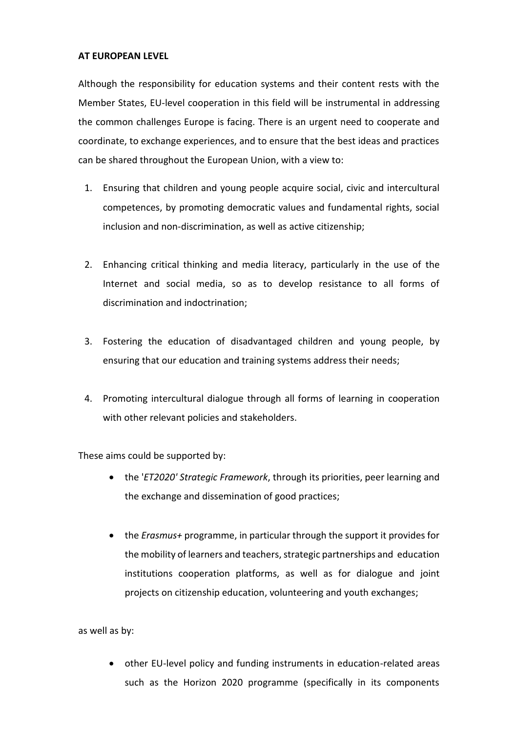# **AT EUROPEAN LEVEL**

Although the responsibility for education systems and their content rests with the Member States, EU-level cooperation in this field will be instrumental in addressing the common challenges Europe is facing. There is an urgent need to cooperate and coordinate, to exchange experiences, and to ensure that the best ideas and practices can be shared throughout the European Union, with a view to:

- 1. Ensuring that children and young people acquire social, civic and intercultural competences, by promoting democratic values and fundamental rights, social inclusion and non-discrimination, as well as active citizenship;
- 2. Enhancing critical thinking and media literacy, particularly in the use of the Internet and social media, so as to develop resistance to all forms of discrimination and indoctrination;
- 3. Fostering the education of disadvantaged children and young people, by ensuring that our education and training systems address their needs;
- 4. Promoting intercultural dialogue through all forms of learning in cooperation with other relevant policies and stakeholders.

These aims could be supported by:

- the '*ET2020' Strategic Framework*, through its priorities, peer learning and the exchange and dissemination of good practices;
- the *Erasmus+* programme, in particular through the support it provides for the mobility of learners and teachers, strategic partnerships and education institutions cooperation platforms, as well as for dialogue and joint projects on citizenship education, volunteering and youth exchanges;

as well as by:

 other EU-level policy and funding instruments in education-related areas such as the Horizon 2020 programme (specifically in its components